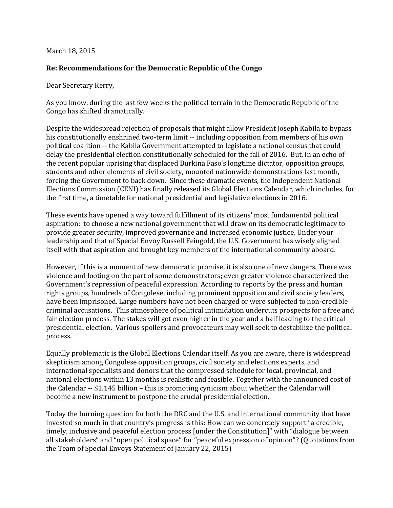## March 18, 2015

## **Re: Recommendations for the Democratic Republic of the Congo**

Dear Secretary Kerry,

As you know, during the last few weeks the political terrain in the Democratic Republic of the Congo has shifted dramatically.

Despite the widespread rejection of proposals that might allow President Joseph Kabila to bypass his constitutionally enshrined two-term limit -- including opposition from members of his own political coalition -- the Kabila Government attempted to legislate a national census that could delay the presidential election constitutionally scheduled for the fall of 2016. But, in an echo of the recent popular uprising that displaced Burkina Faso's longtime dictator, opposition groups, students and other elements of civil society, mounted nationwide demonstrations last month, forcing the Government to back down. Since these dramatic events, the Independent National Elections Commission (CENI) has finally released its Global Elections Calendar, which includes, for the first time, a timetable for national presidential and legislative elections in 2016.

These events have opened a way toward fulfillment of its citizens' most fundamental political aspiration: to choose a new national government that will draw on its democratic legitimacy to provide greater security, improved governance and increased economic justice. Under your leadership and that of Special Envoy Russell Feingold, the U.S. Government has wisely aligned itself with that aspiration and brought key members of the international community aboard.

However, if this is a moment of new democratic promise, it is also one of new dangers. There was violence and looting on the part of some demonstrators; even greater violence characterized the Government's repression of peaceful expression. According to reports by the press and human rights groups, hundreds of Congolese, including prominent opposition and civil society leaders, have been imprisoned. Large numbers have not been charged or were subjected to non-credible criminal accusations. This atmosphere of political intimidation undercuts prospects for a free and fair election process. The stakes will get even higher in the year and a half leading to the critical presidential election. Various spoilers and provocateurs may well seek to destabilize the political process.

Equally problematic is the Global Elections Calendar itself. As you are aware, there is widespread skepticism among Congolese opposition groups, civil society and elections experts, and international specialists and donors that the compressed schedule for local, provincial, and national elections within 13 months is realistic and feasible. Together with the announced cost of the Calendar -- \$1.145 billion – this is promoting cynicism about whether the Calendar will become a new instrument to postpone the crucial presidential election.

Today the burning question for both the DRC and the U.S. and international community that have invested so much in that country's progress is this: How can we concretely support "a credible, timely, inclusive and peaceful election process [under the Constitution]" with "dialogue between all stakeholders" and "open political space" for "peaceful expression of opinion"? (Quotations from the Team of Special Envoys Statement of January 22, 2015)